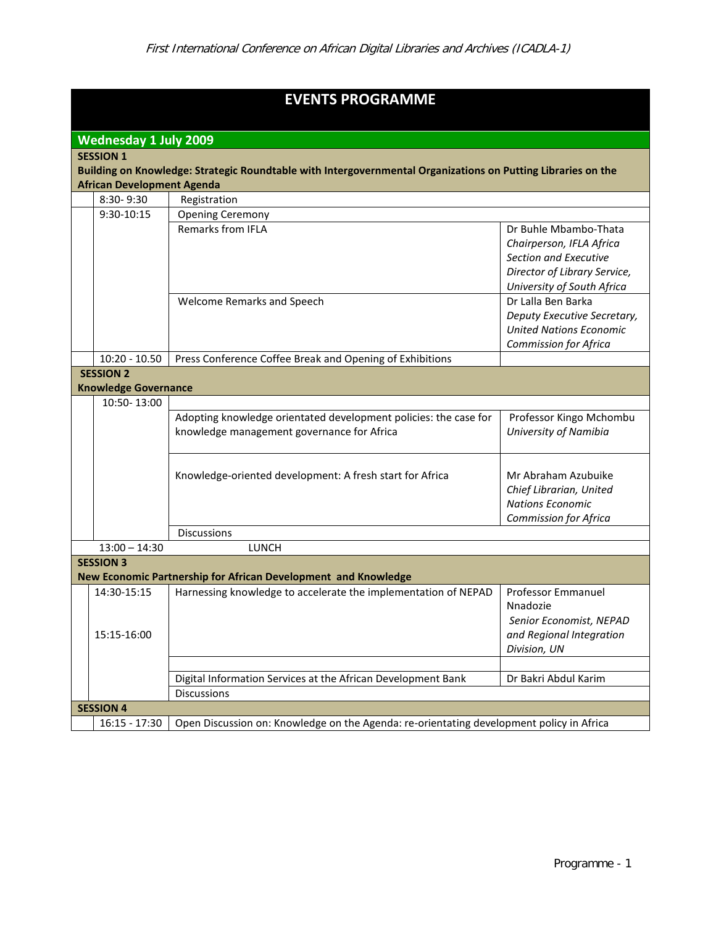| <b>EVENTS PROGRAMME</b>                                                                                      |                                                                                                             |                                                                                                                |                                                                                                                                          |  |  |  |  |  |
|--------------------------------------------------------------------------------------------------------------|-------------------------------------------------------------------------------------------------------------|----------------------------------------------------------------------------------------------------------------|------------------------------------------------------------------------------------------------------------------------------------------|--|--|--|--|--|
| <b>Wednesday 1 July 2009</b>                                                                                 |                                                                                                             |                                                                                                                |                                                                                                                                          |  |  |  |  |  |
| <b>SESSION 1</b>                                                                                             |                                                                                                             |                                                                                                                |                                                                                                                                          |  |  |  |  |  |
| Building on Knowledge: Strategic Roundtable with Intergovernmental Organizations on Putting Libraries on the |                                                                                                             |                                                                                                                |                                                                                                                                          |  |  |  |  |  |
|                                                                                                              | <b>African Development Agenda</b>                                                                           |                                                                                                                |                                                                                                                                          |  |  |  |  |  |
|                                                                                                              | 8:30-9:30                                                                                                   | Registration                                                                                                   |                                                                                                                                          |  |  |  |  |  |
|                                                                                                              | 9:30-10:15                                                                                                  | <b>Opening Ceremony</b>                                                                                        |                                                                                                                                          |  |  |  |  |  |
|                                                                                                              |                                                                                                             | Remarks from IFLA                                                                                              | Dr Buhle Mbambo-Thata<br>Chairperson, IFLA Africa<br>Section and Executive<br>Director of Library Service,<br>University of South Africa |  |  |  |  |  |
|                                                                                                              |                                                                                                             | Welcome Remarks and Speech                                                                                     | Dr Lalla Ben Barka<br>Deputy Executive Secretary,<br><b>United Nations Economic</b><br><b>Commission for Africa</b>                      |  |  |  |  |  |
|                                                                                                              | $10:20 - 10.50$                                                                                             | Press Conference Coffee Break and Opening of Exhibitions                                                       |                                                                                                                                          |  |  |  |  |  |
|                                                                                                              | <b>SESSION 2</b>                                                                                            |                                                                                                                |                                                                                                                                          |  |  |  |  |  |
|                                                                                                              | <b>Knowledge Governance</b>                                                                                 |                                                                                                                |                                                                                                                                          |  |  |  |  |  |
|                                                                                                              | 10:50-13:00                                                                                                 |                                                                                                                |                                                                                                                                          |  |  |  |  |  |
|                                                                                                              |                                                                                                             | Adopting knowledge orientated development policies: the case for<br>knowledge management governance for Africa | Professor Kingo Mchombu<br>University of Namibia                                                                                         |  |  |  |  |  |
|                                                                                                              |                                                                                                             | Knowledge-oriented development: A fresh start for Africa                                                       | Mr Abraham Azubuike<br>Chief Librarian, United<br><b>Nations Economic</b><br><b>Commission for Africa</b>                                |  |  |  |  |  |
|                                                                                                              |                                                                                                             | <b>Discussions</b>                                                                                             |                                                                                                                                          |  |  |  |  |  |
|                                                                                                              | $13:00 - 14:30$                                                                                             | <b>LUNCH</b>                                                                                                   |                                                                                                                                          |  |  |  |  |  |
|                                                                                                              | <b>SESSION 3</b>                                                                                            |                                                                                                                |                                                                                                                                          |  |  |  |  |  |
|                                                                                                              |                                                                                                             | New Economic Partnership for African Development and Knowledge                                                 |                                                                                                                                          |  |  |  |  |  |
|                                                                                                              | 14:30-15:15<br>15:15-16:00                                                                                  | Harnessing knowledge to accelerate the implementation of NEPAD                                                 | <b>Professor Emmanuel</b><br>Nnadozie<br>Senior Economist, NEPAD<br>and Regional Integration<br>Division, UN                             |  |  |  |  |  |
|                                                                                                              |                                                                                                             |                                                                                                                |                                                                                                                                          |  |  |  |  |  |
|                                                                                                              |                                                                                                             | Digital Information Services at the African Development Bank                                                   | Dr Bakri Abdul Karim                                                                                                                     |  |  |  |  |  |
|                                                                                                              | <b>Discussions</b>                                                                                          |                                                                                                                |                                                                                                                                          |  |  |  |  |  |
| <b>SESSION 4</b>                                                                                             |                                                                                                             |                                                                                                                |                                                                                                                                          |  |  |  |  |  |
|                                                                                                              | Open Discussion on: Knowledge on the Agenda: re-orientating development policy in Africa<br>$16:15 - 17:30$ |                                                                                                                |                                                                                                                                          |  |  |  |  |  |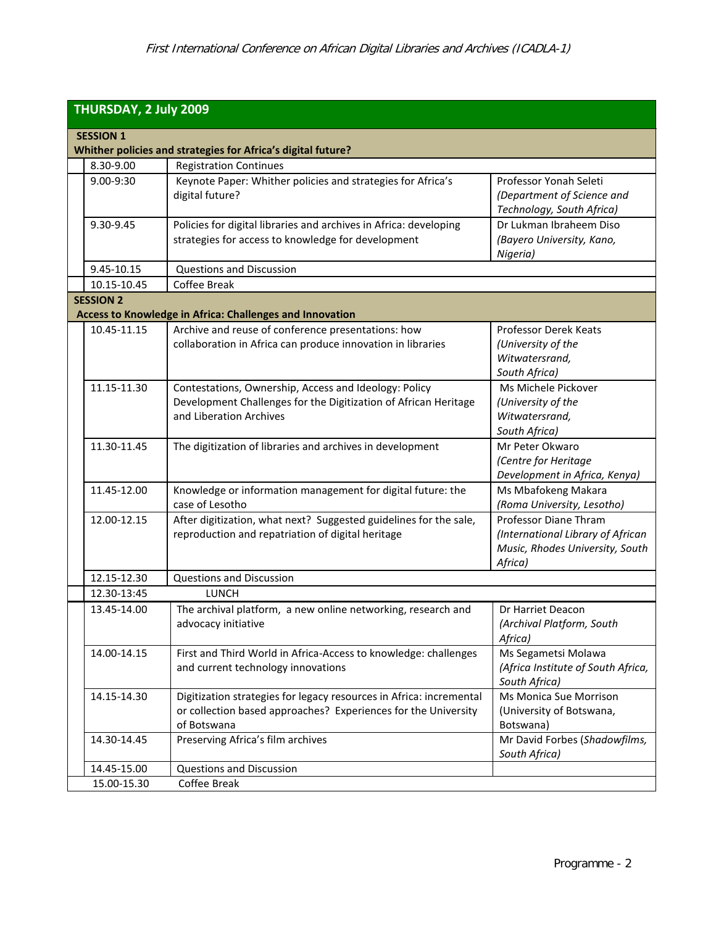| THURSDAY, 2 July 2009 |                  |                                                                                                                                                      |                                                                                                          |  |  |  |  |
|-----------------------|------------------|------------------------------------------------------------------------------------------------------------------------------------------------------|----------------------------------------------------------------------------------------------------------|--|--|--|--|
| <b>SESSION 1</b>      |                  |                                                                                                                                                      |                                                                                                          |  |  |  |  |
|                       |                  | Whither policies and strategies for Africa's digital future?                                                                                         |                                                                                                          |  |  |  |  |
|                       | 8.30-9.00        | <b>Registration Continues</b>                                                                                                                        |                                                                                                          |  |  |  |  |
|                       | 9.00-9:30        | Keynote Paper: Whither policies and strategies for Africa's<br>digital future?                                                                       | Professor Yonah Seleti<br>(Department of Science and<br>Technology, South Africa)                        |  |  |  |  |
|                       | 9.30-9.45        | Policies for digital libraries and archives in Africa: developing<br>strategies for access to knowledge for development                              | Dr Lukman Ibraheem Diso<br>(Bayero University, Kano,<br>Nigeria)                                         |  |  |  |  |
|                       | 9.45-10.15       | <b>Questions and Discussion</b>                                                                                                                      |                                                                                                          |  |  |  |  |
|                       | 10.15-10.45      | Coffee Break                                                                                                                                         |                                                                                                          |  |  |  |  |
|                       | <b>SESSION 2</b> | Access to Knowledge in Africa: Challenges and Innovation                                                                                             |                                                                                                          |  |  |  |  |
|                       | 10.45-11.15      | Archive and reuse of conference presentations: how<br>collaboration in Africa can produce innovation in libraries                                    | <b>Professor Derek Keats</b><br>(University of the<br>Witwatersrand,<br>South Africa)                    |  |  |  |  |
|                       | 11.15-11.30      | Contestations, Ownership, Access and Ideology: Policy<br>Development Challenges for the Digitization of African Heritage<br>and Liberation Archives  | Ms Michele Pickover<br>(University of the<br>Witwatersrand,<br>South Africa)                             |  |  |  |  |
|                       | 11.30-11.45      | The digitization of libraries and archives in development                                                                                            | Mr Peter Okwaro<br>(Centre for Heritage<br>Development in Africa, Kenya)                                 |  |  |  |  |
|                       | 11.45-12.00      | Knowledge or information management for digital future: the<br>case of Lesotho                                                                       | Ms Mbafokeng Makara<br>(Roma University, Lesotho)                                                        |  |  |  |  |
|                       | 12.00-12.15      | After digitization, what next? Suggested guidelines for the sale,<br>reproduction and repatriation of digital heritage                               | Professor Diane Thram<br>(International Library of African<br>Music, Rhodes University, South<br>Africa) |  |  |  |  |
|                       | 12.15-12.30      | <b>Questions and Discussion</b>                                                                                                                      |                                                                                                          |  |  |  |  |
|                       | 12.30-13:45      | LUNCH                                                                                                                                                |                                                                                                          |  |  |  |  |
|                       | 13.45-14.00      | The archival platform, a new online networking, research and<br>advocacy initiative                                                                  | Dr Harriet Deacon<br>(Archival Platform, South<br>Africa)                                                |  |  |  |  |
|                       | 14.00-14.15      | First and Third World in Africa-Access to knowledge: challenges<br>and current technology innovations                                                | Ms Segametsi Molawa<br>(Africa Institute of South Africa,<br>South Africa)                               |  |  |  |  |
|                       | 14.15-14.30      | Digitization strategies for legacy resources in Africa: incremental<br>or collection based approaches? Experiences for the University<br>of Botswana | Ms Monica Sue Morrison<br>(University of Botswana,<br>Botswana)                                          |  |  |  |  |
|                       | 14.30-14.45      | Preserving Africa's film archives                                                                                                                    | Mr David Forbes (Shadowfilms,<br>South Africa)                                                           |  |  |  |  |
|                       | 14.45-15.00      | <b>Questions and Discussion</b>                                                                                                                      |                                                                                                          |  |  |  |  |
|                       | 15.00-15.30      | Coffee Break                                                                                                                                         |                                                                                                          |  |  |  |  |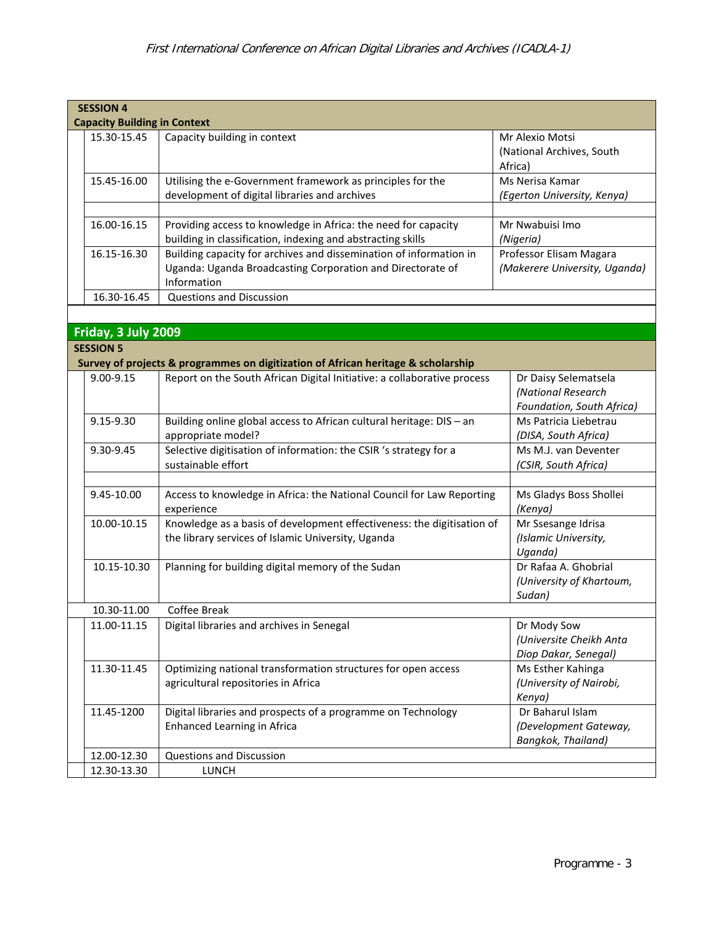| <b>SESSION 4</b><br><b>Capacity Building in Context</b> |                     |                                                                                                                                                 |                                                                         |  |  |  |  |
|---------------------------------------------------------|---------------------|-------------------------------------------------------------------------------------------------------------------------------------------------|-------------------------------------------------------------------------|--|--|--|--|
|                                                         | 15.30-15.45         | Capacity building in context                                                                                                                    | Mr Alexio Motsi<br>(National Archives, South<br>Africa)                 |  |  |  |  |
|                                                         | 15.45-16.00         | Utilising the e-Government framework as principles for the<br>development of digital libraries and archives                                     | Ms Nerisa Kamar<br>(Egerton University, Kenya)                          |  |  |  |  |
|                                                         | 16.00-16.15         | Providing access to knowledge in Africa: the need for capacity<br>building in classification, indexing and abstracting skills                   | Mr Nwabuisi Imo<br>(Nigeria)                                            |  |  |  |  |
|                                                         | 16.15-16.30         | Building capacity for archives and dissemination of information in<br>Uganda: Uganda Broadcasting Corporation and Directorate of<br>Information | Professor Elisam Magara<br>(Makerere University, Uganda)                |  |  |  |  |
|                                                         | 16.30-16.45         | <b>Questions and Discussion</b>                                                                                                                 |                                                                         |  |  |  |  |
|                                                         |                     |                                                                                                                                                 |                                                                         |  |  |  |  |
|                                                         | Friday, 3 July 2009 |                                                                                                                                                 |                                                                         |  |  |  |  |
|                                                         | <b>SESSION 5</b>    |                                                                                                                                                 |                                                                         |  |  |  |  |
|                                                         |                     | Survey of projects & programmes on digitization of African heritage & scholarship                                                               |                                                                         |  |  |  |  |
|                                                         | 9.00-9.15           | Report on the South African Digital Initiative: a collaborative process                                                                         | Dr Daisy Selematsela<br>(National Research<br>Foundation, South Africa) |  |  |  |  |
|                                                         | 9.15-9.30           | Building online global access to African cultural heritage: DIS - an<br>appropriate model?                                                      | Ms Patricia Liebetrau<br>(DISA, South Africa)                           |  |  |  |  |
|                                                         | 9.30-9.45           | Selective digitisation of information: the CSIR 's strategy for a<br>sustainable effort                                                         | Ms M.J. van Deventer<br>(CSIR, South Africa)                            |  |  |  |  |
|                                                         | 9.45-10.00          | Access to knowledge in Africa: the National Council for Law Reporting<br>experience                                                             | Ms Gladys Boss Shollei<br>(Kenya)                                       |  |  |  |  |
|                                                         | 10.00-10.15         | Knowledge as a basis of development effectiveness: the digitisation of<br>the library services of Islamic University, Uganda                    | Mr Ssesange Idrisa<br>(Islamic University,<br>Uganda)                   |  |  |  |  |
|                                                         | 10.15-10.30         | Planning for building digital memory of the Sudan                                                                                               | Dr Rafaa A. Ghobrial<br>(University of Khartoum,<br>Sudan)              |  |  |  |  |
|                                                         | 10.30-11.00         | Coffee Break                                                                                                                                    |                                                                         |  |  |  |  |
|                                                         | 11.00-11.15         | Digital libraries and archives in Senegal                                                                                                       | Dr Mody Sow<br>(Universite Cheikh Anta<br>Diop Dakar, Senegal)          |  |  |  |  |
|                                                         | 11.30-11.45         | Optimizing national transformation structures for open access<br>agricultural repositories in Africa                                            | Ms Esther Kahinga<br>(University of Nairobi,<br>Kenya)                  |  |  |  |  |
|                                                         | 11.45-1200          | Digital libraries and prospects of a programme on Technology<br><b>Enhanced Learning in Africa</b>                                              | Dr Baharul Islam<br>(Development Gateway,<br>Bangkok, Thailand)         |  |  |  |  |
|                                                         | 12.00-12.30         | <b>Questions and Discussion</b>                                                                                                                 |                                                                         |  |  |  |  |
|                                                         | 12.30-13.30         | LUNCH                                                                                                                                           |                                                                         |  |  |  |  |